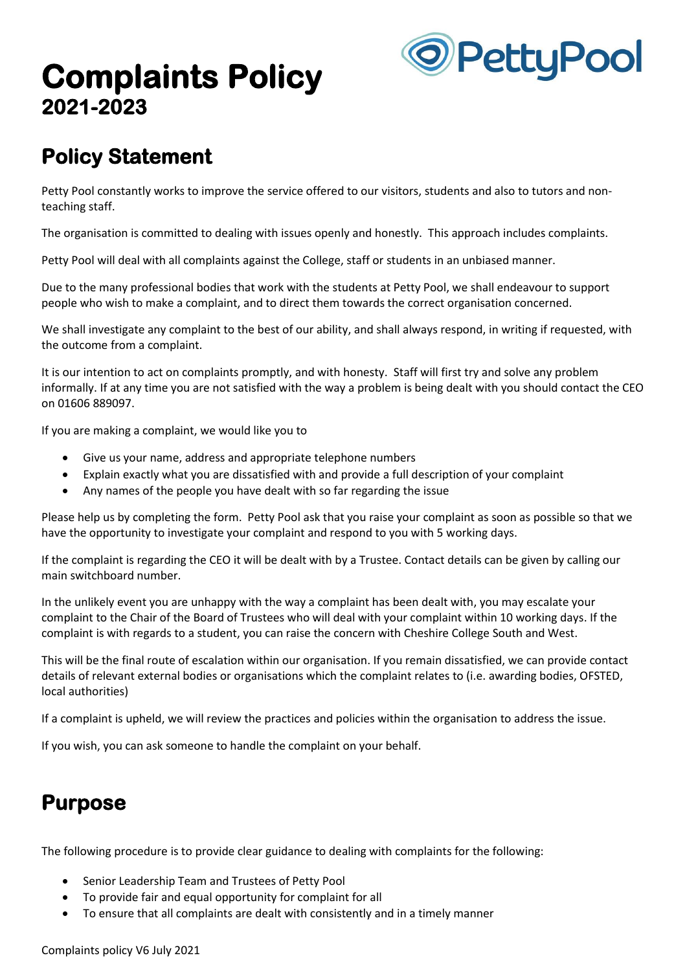# **Complaints Policy 2021-2023**



## **Policy Statement**

Petty Pool constantly works to improve the service offered to our visitors, students and also to tutors and nonteaching staff.

The organisation is committed to dealing with issues openly and honestly. This approach includes complaints.

Petty Pool will deal with all complaints against the College, staff or students in an unbiased manner.

Due to the many professional bodies that work with the students at Petty Pool, we shall endeavour to support people who wish to make a complaint, and to direct them towards the correct organisation concerned.

We shall investigate any complaint to the best of our ability, and shall always respond, in writing if requested, with the outcome from a complaint.

It is our intention to act on complaints promptly, and with honesty. Staff will first try and solve any problem informally. If at any time you are not satisfied with the way a problem is being dealt with you should contact the CEO on 01606 889097.

If you are making a complaint, we would like you to

- Give us your name, address and appropriate telephone numbers
- Explain exactly what you are dissatisfied with and provide a full description of your complaint
- Any names of the people you have dealt with so far regarding the issue

Please help us by completing the form. Petty Pool ask that you raise your complaint as soon as possible so that we have the opportunity to investigate your complaint and respond to you with 5 working days.

If the complaint is regarding the CEO it will be dealt with by a Trustee. Contact details can be given by calling our main switchboard number.

In the unlikely event you are unhappy with the way a complaint has been dealt with, you may escalate your complaint to the Chair of the Board of Trustees who will deal with your complaint within 10 working days. If the complaint is with regards to a student, you can raise the concern with Cheshire College South and West.

This will be the final route of escalation within our organisation. If you remain dissatisfied, we can provide contact details of relevant external bodies or organisations which the complaint relates to (i.e. awarding bodies, OFSTED, local authorities)

If a complaint is upheld, we will review the practices and policies within the organisation to address the issue.

If you wish, you can ask someone to handle the complaint on your behalf.

### **Purpose**

The following procedure is to provide clear guidance to dealing with complaints for the following:

- Senior Leadership Team and Trustees of Petty Pool
- To provide fair and equal opportunity for complaint for all
- To ensure that all complaints are dealt with consistently and in a timely manner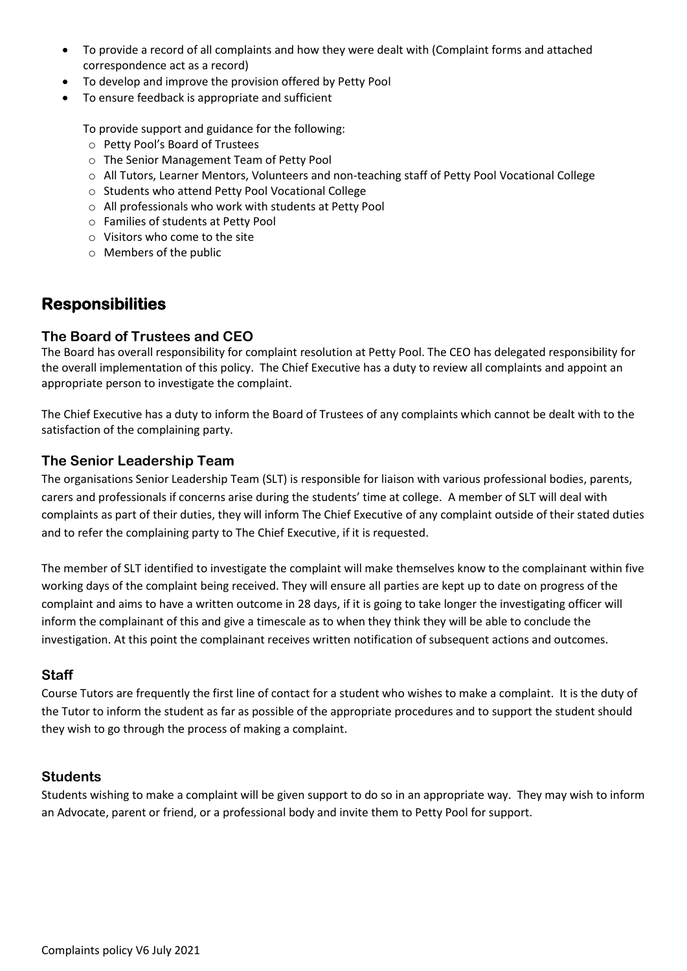- To provide a record of all complaints and how they were dealt with (Complaint forms and attached correspondence act as a record)
- To develop and improve the provision offered by Petty Pool
- To ensure feedback is appropriate and sufficient

To provide support and guidance for the following:

- o Petty Pool's Board of Trustees
- o The Senior Management Team of Petty Pool
- o All Tutors, Learner Mentors, Volunteers and non-teaching staff of Petty Pool Vocational College
- o Students who attend Petty Pool Vocational College
- o All professionals who work with students at Petty Pool
- o Families of students at Petty Pool
- o Visitors who come to the site
- o Members of the public

#### **Responsibilities**

#### **The Board of Trustees and CEO**

The Board has overall responsibility for complaint resolution at Petty Pool. The CEO has delegated responsibility for the overall implementation of this policy. The Chief Executive has a duty to review all complaints and appoint an appropriate person to investigate the complaint.

The Chief Executive has a duty to inform the Board of Trustees of any complaints which cannot be dealt with to the satisfaction of the complaining party.

#### **The Senior Leadership Team**

The organisations Senior Leadership Team (SLT) is responsible for liaison with various professional bodies, parents, carers and professionals if concerns arise during the students' time at college. A member of SLT will deal with complaints as part of their duties, they will inform The Chief Executive of any complaint outside of their stated duties and to refer the complaining party to The Chief Executive, if it is requested.

The member of SLT identified to investigate the complaint will make themselves know to the complainant within five working days of the complaint being received. They will ensure all parties are kept up to date on progress of the complaint and aims to have a written outcome in 28 days, if it is going to take longer the investigating officer will inform the complainant of this and give a timescale as to when they think they will be able to conclude the investigation. At this point the complainant receives written notification of subsequent actions and outcomes.

#### **Staff**

Course Tutors are frequently the first line of contact for a student who wishes to make a complaint. It is the duty of the Tutor to inform the student as far as possible of the appropriate procedures and to support the student should they wish to go through the process of making a complaint.

#### **Students**

Students wishing to make a complaint will be given support to do so in an appropriate way. They may wish to inform an Advocate, parent or friend, or a professional body and invite them to Petty Pool for support.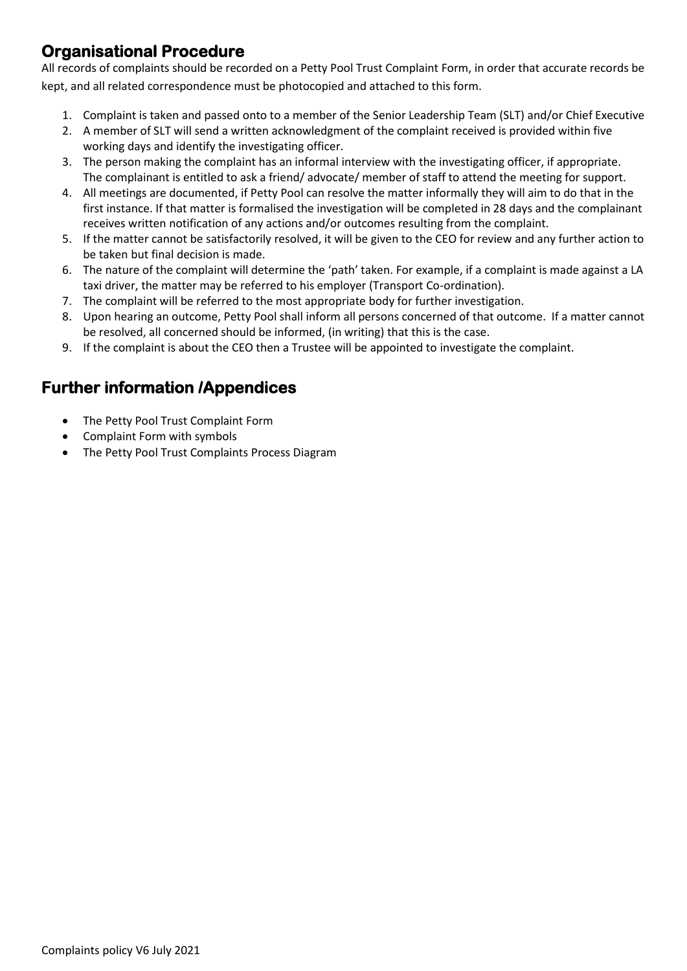#### **Organisational Procedure**

All records of complaints should be recorded on a Petty Pool Trust Complaint Form, in order that accurate records be kept, and all related correspondence must be photocopied and attached to this form.

- 1. Complaint is taken and passed onto to a member of the Senior Leadership Team (SLT) and/or Chief Executive
- 2. A member of SLT will send a written acknowledgment of the complaint received is provided within five working days and identify the investigating officer.
- 3. The person making the complaint has an informal interview with the investigating officer, if appropriate. The complainant is entitled to ask a friend/ advocate/ member of staff to attend the meeting for support.
- 4. All meetings are documented, if Petty Pool can resolve the matter informally they will aim to do that in the first instance. If that matter is formalised the investigation will be completed in 28 days and the complainant receives written notification of any actions and/or outcomes resulting from the complaint.
- 5. If the matter cannot be satisfactorily resolved, it will be given to the CEO for review and any further action to be taken but final decision is made.
- 6. The nature of the complaint will determine the 'path' taken. For example, if a complaint is made against a LA taxi driver, the matter may be referred to his employer (Transport Co-ordination).
- 7. The complaint will be referred to the most appropriate body for further investigation.
- 8. Upon hearing an outcome, Petty Pool shall inform all persons concerned of that outcome. If a matter cannot be resolved, all concerned should be informed, (in writing) that this is the case.
- 9. If the complaint is about the CEO then a Trustee will be appointed to investigate the complaint.

#### **Further information /Appendices**

- The Petty Pool Trust Complaint Form
- Complaint Form with symbols
- The Petty Pool Trust Complaints Process Diagram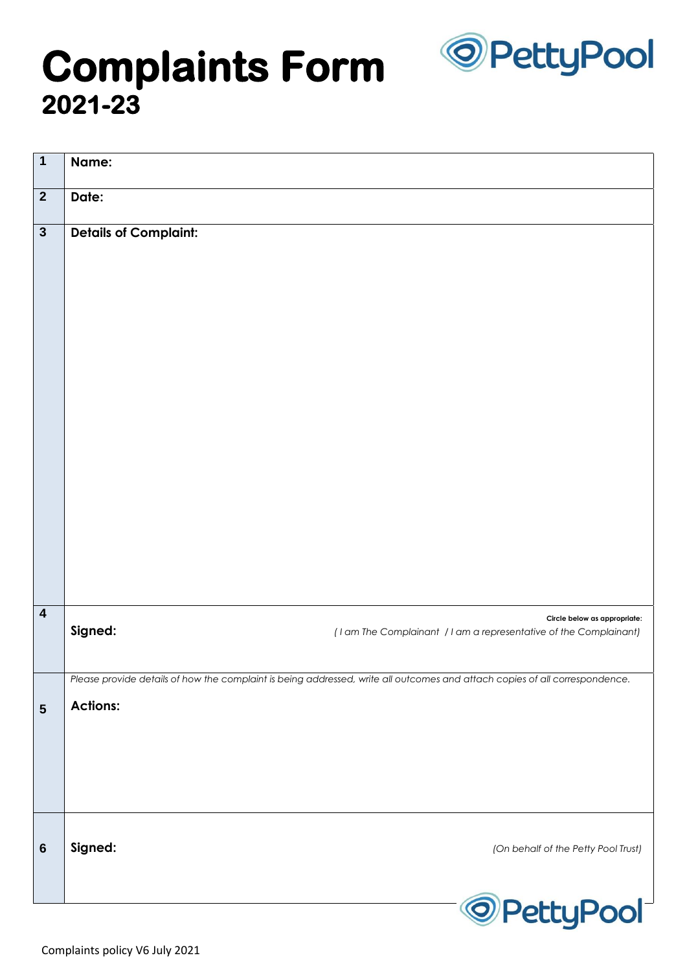

# **Complaints Form 2021-23**

| $\mathbf 1$             | Name:                                                                                                                       |
|-------------------------|-----------------------------------------------------------------------------------------------------------------------------|
| $\overline{2}$          | Date:                                                                                                                       |
| $\mathbf{3}$            | <b>Details of Complaint:</b>                                                                                                |
| $\overline{\mathbf{4}}$ | Circle below as appropriate:<br>Signed:<br>(I am The Complainant / I am a representative of the Complainant)                |
|                         | Please provide details of how the complaint is being addressed, write all outcomes and attach copies of all correspondence. |
| 5                       | <b>Actions:</b>                                                                                                             |
| $6\phantom{1}6$         | Signed:<br>(On behalf of the Petty Pool Trust)                                                                              |
|                         | <sup>O</sup> PettyPool                                                                                                      |